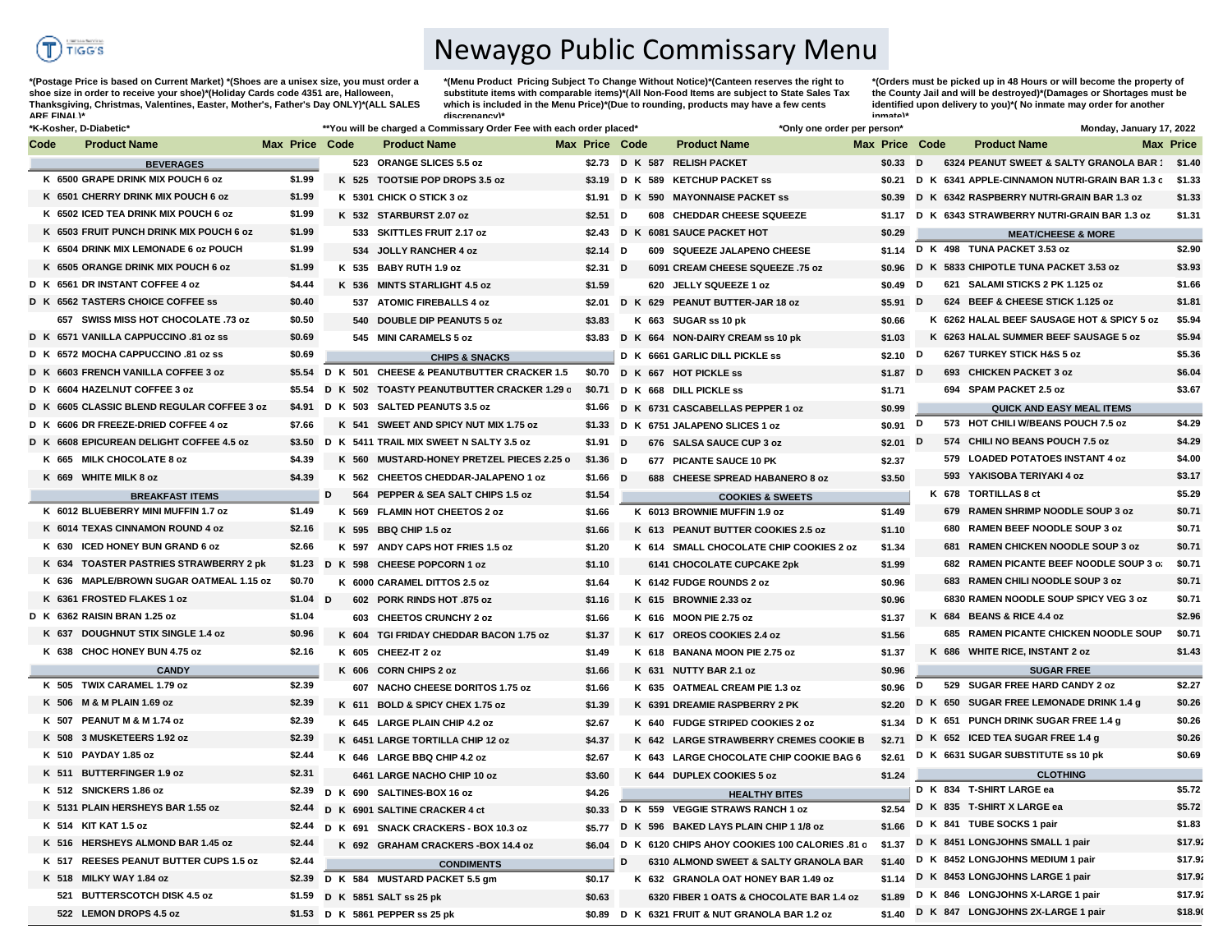

## Newaygo Public Commissary Menu

**\*(Postage Price is based on Current Market) \*(Shoes are a unisex size, you must order a shoe size in order to receive your shoe)\*(Holiday Cards code 4351 are, Halloween, Thanksgiving, Christmas, Valentines, Easter, Mother's, Father's Day ONLY)\*(ALL SALES ARE FINAL)\***

**\*(Menu Product Pricing Subject To Change Without Notice)\*(Canteen reserves the right to substitute items with comparable items)\*(All Non-Food Items are subject to State Sales Tax**  which is included in the Menu Price)\*(Due to rounding, products may have a few cents **discrepancy)\*** 

**\*(Orders must be picked up in 48 Hours or will become the property of the County Jail and will be destroyed)\*(Damages or Shortages must be identified upon delivery to you)\*( No inmate may order for another inmate)\***

|      | *K-Kosher, D-Diabetic'                     |                       |   | **You will be charged a Commissary Order Fee with each order placed* |                |           |   | *Only one order per person*                                                     |                       |   |     | Monday, January 17, 2022                                    |                  |
|------|--------------------------------------------|-----------------------|---|----------------------------------------------------------------------|----------------|-----------|---|---------------------------------------------------------------------------------|-----------------------|---|-----|-------------------------------------------------------------|------------------|
| Code | <b>Product Name</b>                        | <b>Max Price Code</b> |   | <b>Product Name</b>                                                  | Max Price Code |           |   | <b>Product Name</b>                                                             | <b>Max Price Code</b> |   |     | <b>Product Name</b>                                         | <b>Max Price</b> |
|      | <b>BEVERAGES</b>                           |                       |   | 523 ORANGE SLICES 5.5 oz                                             |                |           |   | \$2.73 D K 587 RELISH PACKET                                                    | $$0.33$ D             |   |     | 6324 PEANUT SWEET & SALTY GRANOLA BAR 1 \$1.40              |                  |
|      | K 6500 GRAPE DRINK MIX POUCH 6 oz          | \$1.99                |   | K 525 TOOTSIE POP DROPS 3.5 oz                                       |                |           |   | \$3.19 D K 589 KETCHUP PACKET ss                                                |                       |   |     | \$0.21 D K 6341 APPLE-CINNAMON NUTRI-GRAIN BAR 1.3 c \$1.33 |                  |
|      | K 6501 CHERRY DRINK MIX POUCH 6 oz         | \$1.99                |   | K 5301 CHICK O STICK 3 oz                                            |                |           |   | \$1.91 D K 590 MAYONNAISE PACKET SS                                             | \$0.39                |   |     | D K 6342 RASPBERRY NUTRI-GRAIN BAR 1.3 oz                   | \$1.33           |
|      | K 6502 ICED TEA DRINK MIX POUCH 6 oz       | \$1.99                |   | K 532 STARBURST 2.07 oz                                              | \$2.51         |           | D | 608 CHEDDAR CHEESE SQUEEZE                                                      | \$1.17                |   |     | D K 6343 STRAWBERRY NUTRI-GRAIN BAR 1.3 oz                  | \$1.31           |
|      | K 6503 FRUIT PUNCH DRINK MIX POUCH 6 oz    | \$1.99                |   | 533 SKITTLES FRUIT 2.17 oz                                           |                |           |   | \$2.43 D K 6081 SAUCE PACKET HOT                                                | \$0.29                |   |     | <b>MEAT/CHEESE &amp; MORE</b>                               |                  |
|      | K 6504 DRINK MIX LEMONADE 6 oz POUCH       | \$1.99                |   | 534 JOLLY RANCHER 4 oz                                               |                | $$2.14$ D |   | 609 SQUEEZE JALAPENO CHEESE                                                     |                       |   |     | \$1.14 D K 498 TUNA PACKET 3.53 oz                          | \$2.90           |
|      | K 6505 ORANGE DRINK MIX POUCH 6 oz         | \$1.99                |   | K 535 BABY RUTH 1.9 oz                                               |                | $$2.31$ D |   | 6091 CREAM CHEESE SQUEEZE .75 oz                                                | \$0.96                |   |     | D K 5833 CHIPOTLE TUNA PACKET 3.53 oz                       | \$3.93           |
|      | D K 6561 DR INSTANT COFFEE 4 oz            | \$4.44                |   | K 536 MINTS STARLIGHT 4.5 oz                                         | \$1.59         |           |   | 620 JELLY SQUEEZE 1 oz                                                          | \$0.49                | D |     | 621 SALAMI STICKS 2 PK 1.125 oz                             | \$1.66           |
|      | D K 6562 TASTERS CHOICE COFFEE SS          | \$0.40                |   | 537 ATOMIC FIREBALLS 4 oz                                            |                |           |   | \$2.01 D K 629 PEANUT BUTTER-JAR 18 oz                                          | \$5.91 $D$            |   |     | 624 BEEF & CHEESE STICK 1.125 oz                            | \$1.81           |
|      | 657 SWISS MISS HOT CHOCOLATE .73 oz        | \$0.50                |   | 540 DOUBLE DIP PEANUTS 5 oz                                          | \$3.83         |           |   | K 663 SUGAR ss 10 pk                                                            | \$0.66                |   |     | K 6262 HALAL BEEF SAUSAGE HOT & SPICY 5 oz                  | \$5.94           |
|      | D K 6571 VANILLA CAPPUCCINO .81 oz ss      | \$0.69                |   | 545 MINI CARAMELS 5 oz                                               | \$3.83         |           |   | D K 664 NON-DAIRY CREAM ss 10 pk                                                | \$1.03                |   |     | K 6263 HALAL SUMMER BEEF SAUSAGE 5 oz                       | \$5.94           |
|      | D K 6572 MOCHA CAPPUCCINO .81 oz ss        | \$0.69                |   | <b>CHIPS &amp; SNACKS</b>                                            |                |           |   | D K 6661 GARLIC DILL PICKLE ss                                                  | $$2.10$ D             |   |     | 6267 TURKEY STICK H&S 5 oz                                  | \$5.36           |
|      | D K 6603 FRENCH VANILLA COFFEE 3 oz        |                       |   | \$5.54 D K 501 CHEESE & PEANUTBUTTER CRACKER 1.5                     |                |           |   | \$0.70 D K 667 HOT PICKLE ss                                                    | $$1.87$ D             |   |     | 693 CHICKEN PACKET 3 oz                                     | \$6.04           |
|      | D K 6604 HAZELNUT COFFEE 3 oz              | \$5.54                |   | D K 502 TOASTY PEANUTBUTTER CRACKER 1.29 c \$0.71                    |                |           |   | D K 668 DILL PICKLE ss                                                          | \$1.71                |   |     | 694 SPAM PACKET 2.5 oz                                      | \$3.67           |
|      | D K 6605 CLASSIC BLEND REGULAR COFFEE 3 oz |                       |   | \$4.91 D K 503 SALTED PEANUTS 3.5 oz                                 | \$1.66         |           |   | D K 6731 CASCABELLAS PEPPER 1 oz                                                | \$0.99                |   |     | <b>QUICK AND EASY MEAL ITEMS</b>                            |                  |
|      | D K 6606 DR FREEZE-DRIED COFFEE 4 oz       | \$7.66                |   | K 541 SWEET AND SPICY NUT MIX 1.75 oz                                |                |           |   | \$1.33 D K 6751 JALAPENO SLICES 1 oz                                            | \$0.91 D              |   |     | 573 HOT CHILI W/BEANS POUCH 7.5 oz                          | \$4.29           |
|      | D K 6608 EPICUREAN DELIGHT COFFEE 4.5 oz   |                       |   | \$3.50 D K 5411 TRAIL MIX SWEET N SALTY 3.5 oz                       |                | $$1.91$ D |   | 676 SALSA SAUCE CUP 3 oz                                                        | \$2.01                | D |     | 574 CHILI NO BEANS POUCH 7.5 oz                             | \$4.29           |
|      | K 665 MILK CHOCOLATE 8 oz                  | \$4.39                |   | K 560 MUSTARD-HONEY PRETZEL PIECES 2.25 o                            |                | $$1.36$ D |   | 677 PICANTE SAUCE 10 PK                                                         | \$2.37                |   |     | 579 LOADED POTATOES INSTANT 4 oz                            | \$4.00           |
|      | K 669 WHITE MILK 8 oz                      | \$4.39                |   | K 562 CHEETOS CHEDDAR-JALAPENO 1 oz                                  |                | $$1.66$ D |   | 688 CHEESE SPREAD HABANERO 8 oz                                                 | \$3.50                |   |     | 593 YAKISOBA TERIYAKI 4 oz                                  | \$3.17           |
|      | <b>BREAKFAST ITEMS</b>                     |                       | D | 564 PEPPER & SEA SALT CHIPS 1.5 oz                                   | \$1.54         |           |   | <b>COOKIES &amp; SWEETS</b>                                                     |                       |   |     | K 678 TORTILLAS 8 ct                                        | \$5.29           |
|      | K 6012 BLUEBERRY MINI MUFFIN 1.7 oz        | \$1.49                |   | K 569 FLAMIN HOT CHEETOS 2 oz                                        | \$1.66         |           |   | K 6013 BROWNIE MUFFIN 1.9 oz                                                    | \$1.49                |   |     | 679 RAMEN SHRIMP NOODLE SOUP 3 oz                           | \$0.71           |
|      | K 6014 TEXAS CINNAMON ROUND 4 oz           | \$2.16                |   | K 595 BBQ CHIP 1.5 oz                                                | \$1.66         |           |   | K 613 PEANUT BUTTER COOKIES 2.5 oz                                              | \$1.10                |   | 680 | RAMEN BEEF NOODLE SOUP 3 oz                                 | \$0.71           |
|      | K 630 ICED HONEY BUN GRAND 6 oz            | \$2.66                |   | K 597 ANDY CAPS HOT FRIES 1.5 oz                                     | \$1.20         |           |   | K 614 SMALL CHOCOLATE CHIP COOKIES 2 oz                                         | \$1.34                |   |     | 681 RAMEN CHICKEN NOODLE SOUP 3 oz                          | \$0.71           |
|      | K 634 TOASTER PASTRIES STRAWBERRY 2 pk     |                       |   | \$1.23 D K 598 CHEESE POPCORN 1 oz                                   | \$1.10         |           |   | 6141 CHOCOLATE CUPCAKE 2pk                                                      | \$1.99                |   |     | 682 RAMEN PICANTE BEEF NOODLE SOUP 3 of                     | \$0.71           |
|      | K 636 MAPLE/BROWN SUGAR OATMEAL 1.15 oz    | \$0.70                |   | K 6000 CARAMEL DITTOS 2.5 oz                                         | \$1.64         |           |   | K 6142 FUDGE ROUNDS 2 oz                                                        | \$0.96                |   |     | 683 RAMEN CHILI NOODLE SOUP 3 oz                            | \$0.71           |
|      | K 6361 FROSTED FLAKES 1 oz                 | $$1.04$ D             |   | 602 PORK RINDS HOT .875 oz                                           | \$1.16         |           |   | K 615 BROWNIE 2.33 oz                                                           | \$0.96                |   |     | 6830 RAMEN NOODLE SOUP SPICY VEG 3 oz                       | \$0.71           |
|      | D K 6362 RAISIN BRAN 1.25 oz               | \$1.04                |   | 603 CHEETOS CRUNCHY 2 oz                                             | \$1.66         |           |   | K 616 MOON PIE 2.75 oz                                                          | \$1.37                |   |     | K 684 BEANS & RICE 4.4 oz                                   | \$2.96           |
|      | K 637 DOUGHNUT STIX SINGLE 1.4 oz          | \$0.96                |   | K 604 TGI FRIDAY CHEDDAR BACON 1.75 oz                               | \$1.37         |           |   | K 617 OREOS COOKIES 2.4 oz                                                      | \$1.56                |   |     | 685 RAMEN PICANTE CHICKEN NOODLE SOUP                       | \$0.71           |
|      | K 638 CHOC HONEY BUN 4.75 oz               | \$2.16                |   | K 605 CHEEZ-IT 2 oz                                                  | \$1.49         |           |   | K 618 BANANA MOON PIE 2.75 oz                                                   | \$1.37                |   |     | K 686 WHITE RICE, INSTANT 2 oz                              | \$1.43           |
|      | <b>CANDY</b>                               |                       |   | K 606 CORN CHIPS 2 oz                                                | \$1.66         |           |   | K 631 NUTTY BAR 2.1 oz                                                          | \$0.96                |   |     | <b>SUGAR FREE</b>                                           |                  |
|      | K 505 TWIX CARAMEL 1.79 oz                 | \$2.39                |   | 607 NACHO CHEESE DORITOS 1.75 oz                                     | \$1.66         |           |   | K 635 OATMEAL CREAM PIE 1.3 oz                                                  | \$0.96                | D |     | 529 SUGAR FREE HARD CANDY 2 oz                              | \$2.27           |
|      | K 506 M & M PLAIN 1.69 oz                  | \$2.39                |   | K 611 BOLD & SPICY CHEX 1.75 oz                                      | \$1.39         |           |   | K 6391 DREAMIE RASPBERRY 2 PK                                                   | \$2.20                |   |     | D K 650 SUGAR FREE LEMONADE DRINK 1.4 g                     | \$0.26           |
|      | K 507 PEANUT M & M 1.74 oz                 | \$2.39                |   | K 645 LARGE PLAIN CHIP 4.2 oz                                        | \$2.67         |           |   | K 640 FUDGE STRIPED COOKIES 2 oz                                                | \$1.34                |   |     | D K 651 PUNCH DRINK SUGAR FREE 1.4 g                        | \$0.26           |
|      | K 508 3 MUSKETEERS 1.92 oz                 | \$2.39                |   | K 6451 LARGE TORTILLA CHIP 12 oz                                     | \$4.37         |           |   | K 642 LARGE STRAWBERRY CREMES COOKIE B                                          | \$2.71                |   |     | D K 652 ICED TEA SUGAR FREE 1.4 g                           | \$0.26           |
|      | K 510 PAYDAY 1.85 oz                       | \$2.44                |   | K 646 LARGE BBQ CHIP 4.2 oz                                          | \$2.67         |           |   | K 643 LARGE CHOCOLATE CHIP COOKIE BAG 6                                         | \$2.61                |   |     | D K 6631 SUGAR SUBSTITUTE ss 10 pk                          | \$0.69           |
|      | K 511 BUTTERFINGER 1.9 oz                  | \$2.31                |   | 6461 LARGE NACHO CHIP 10 oz                                          | \$3.60         |           |   | K 644 DUPLEX COOKIES 5 oz                                                       | \$1.24                |   |     | <b>CLOTHING</b>                                             |                  |
|      | K 512 SNICKERS 1.86 oz                     | \$2.39                |   | D K 690 SALTINES-BOX 16 oz                                           | \$4.26         |           |   |                                                                                 |                       |   |     | D K 834 T-SHIRT LARGE ea                                    | \$5.72           |
|      | K 5131 PLAIN HERSHEYS BAR 1.55 oz          | \$2.44                |   | D K 6901 SALTINE CRACKER 4 ct                                        | \$0.33         |           |   | <b>HEALTHY BITES</b><br>D K 559 VEGGIE STRAWS RANCH 1 oz                        | \$2.54                |   |     | D K 835 T-SHIRT X LARGE ea                                  | \$5.72           |
|      | K 514 KIT KAT 1.5 oz                       | \$2.44                |   | D K 691 SNACK CRACKERS - BOX 10.3 oz                                 |                |           |   | D K 596 BAKED LAYS PLAIN CHIP 1 1/8 oz                                          | \$1.66                |   |     | D K 841 TUBE SOCKS 1 pair                                   | \$1.83           |
|      | K 516 HERSHEYS ALMOND BAR 1.45 oz          | \$2.44                |   | K 692 GRAHAM CRACKERS-BOX 14.4 oz                                    | \$5.77         |           |   | \$6.04 D K 6120 CHIPS AHOY COOKIES 100 CALORIES .81 c                           | \$1.37                |   |     | D K 8451 LONGJOHNS SMALL 1 pair                             | \$17.92          |
|      | K 517 REESES PEANUT BUTTER CUPS 1.5 oz     | \$2.44                |   |                                                                      |                |           | D | 6310 ALMOND SWEET & SALTY GRANOLA BAR                                           | \$1.40                |   |     | D K 8452 LONGJOHNS MEDIUM 1 pair                            | \$17.92          |
|      | K 518 MILKY WAY 1.84 oz                    | \$2.39                |   | <b>CONDIMENTS</b>                                                    |                |           |   |                                                                                 | \$1.14                |   |     | D K 8453 LONGJOHNS LARGE 1 pair                             | \$17.92          |
|      | 521 BUTTERSCOTCH DISK 4.5 oz               |                       |   | D K 584 MUSTARD PACKET 5.5 gm                                        | \$0.17         |           |   | K 632 GRANOLA OAT HONEY BAR 1.49 oz<br>6320 FIBER 1 OATS & CHOCOLATE BAR 1.4 oz |                       |   |     | \$1.89 D K 846 LONGJOHNS X-LARGE 1 pair                     | \$17.92          |
|      |                                            |                       |   | \$1.59 D K 5851 SALT ss 25 pk                                        | \$0.63         |           |   |                                                                                 |                       |   |     | \$1.40 D K 847 LONGJOHNS 2X-LARGE 1 pair                    | \$18.90          |
|      | 522 LEMON DROPS 4.5 oz                     |                       |   | \$1.53 D K 5861 PEPPER ss 25 pk                                      |                |           |   | \$0.89 D K 6321 FRUIT & NUT GRANOLA BAR 1.2 oz                                  |                       |   |     |                                                             |                  |